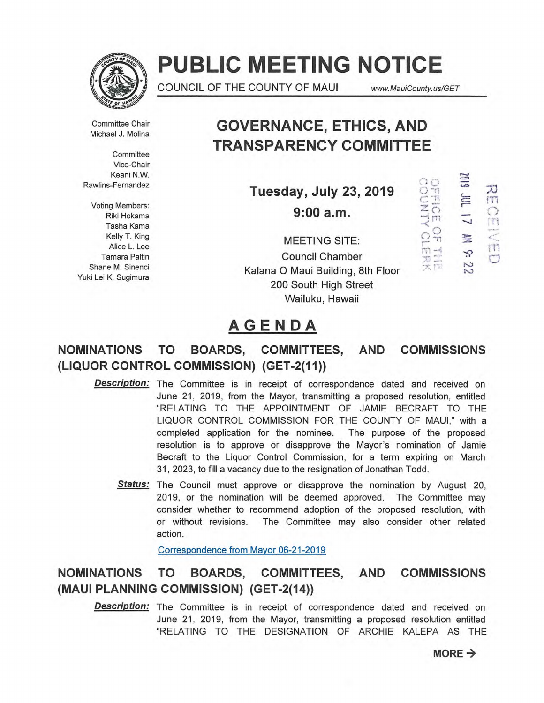

# **PUBLIC MEETING NOTICE**

COUNCIL OF THE COUNTY OF MAUI www.MauiCounty.us/GET

3:a•

ò.

**DONATION CLERK** 

70

ITT  $\frac{1}{11}$ 

IT1

 $\circ$ 

Committee Chair

**Committee** Vice-Chair Keani N.W. Rawlins-Fernandez

Voting Members: Riki Hokama Tasha Kama Kelly T. King Alice L. Lee Tamara Paltin Shane M. Sinenci Yuki Lei K. Sugimura

Committee Chair **GOVERNANCE, ETHICS, AND**<br>Michael J. Molina **TRANSPARENCY COMMITTEE** 

**Tuesday, July 23, 2019** 

**9:00 a.m.** 

MEETING SITE: Council Chamber Kalana 0 Maui Building, 8th Floor 200 South High Street Wailuku, Hawaii

## **AGENDA**

## **NOMINATIONS TO BOARDS, COMMITTEES, AND COMMISSIONS (LIQUOR CONTROL COMMISSION) (GET-2(11))**

- **Description:** The Committee is in receipt of correspondence dated and received on June 21, 2019, from the Mayor, transmitting a proposed resolution, entitled "RELATING TO THE APPOINTMENT OF JAMIE BECRAFT TO THE LIQUOR CONTROL COMMISSION FOR THE COUNTY OF MAUI," with a completed application for the nominee. The purpose of the proposed resolution is to approve or disapprove the Mayor's nomination of Jamie Becraft to the Liquor Control Commission, for a term expiring on March 31, 2023, to fill a vacancy due to the resignation of Jonathan Todd.
	- **Status:** The Council must approve or disapprove the nomination by August 20, 2019, or the nomination will be deemed approved. The Committee may consider whether to recommend adoption of the proposed resolution, with or without revisions. The Committee may also consider other related action.

Correspondence from Mayor 06-21-2019

## **NOMINATIONS TO BOARDS, COMMITTEES, AND COMMISSIONS (MAUI PLANNING COMMISSION) (GET-2(14))**

**Description:** The Committee is in receipt of correspondence dated and received on June 21, 2019, from the Mayor, transmitting a proposed resolution entitled "RELATING TO THE DESIGNATION OF ARCHIE KALEPA AS THE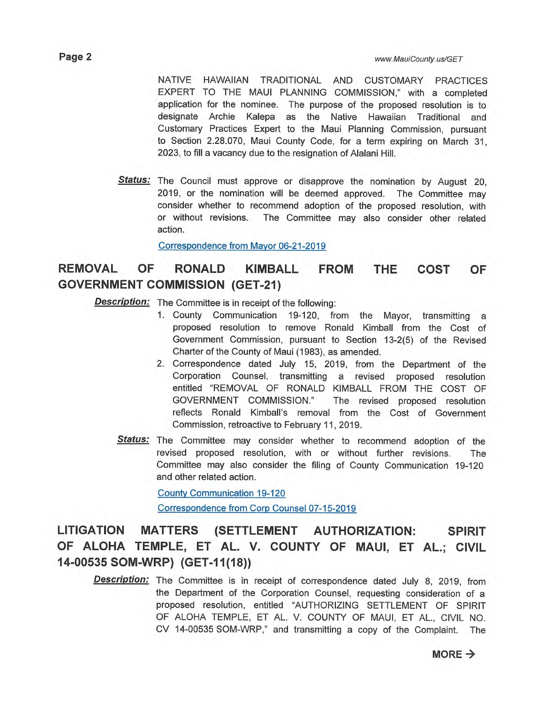NATIVE HAWAIIAN TRADITIONAL AND CUSTOMARY PRACTICES EXPERT TO THE MAUI PLANNING COMMISSION," with a completed application for the nominee. The purpose of the proposed resolution is to designate Archie Kalepa as the Native Hawaiian Traditional and Customary Practices Expert to the Maui Planning Commission, pursuant to Section 2.28.070, Maui County Code, for a term expiring on March 31, 2023, to fill a vacancy due to the resignation of Alalani Hill.

**Status:** The Council must approve or disapprove the nomination by August 20, 2019, or the nomination will be deemed approved. The Committee may consider whether to recommend adoption of the proposed resolution, with or without revisions. The Committee may also consider other related action.

Correspondence from Mayor 06-21-2019

## **REMOVAL OF RONALD KIMBALL FROM THE COST OF GOVERNMENT COMMISSION (GET-21)**

**Description:** The Committee is in receipt of the following:

- 1. County Communication 19-120, from the Mayor, transmitting a proposed resolution to remove Ronald Kimball from the Cost of Government Commission, pursuant to Section 13-2(5) of the Revised Charter of the County of Maui (1983), as amended.
- 2. Correspondence dated July 15, 2019, from the Department of the Corporation Counsel, transmitting a revised proposed resolution entitled "REMOVAL OF RONALD KIMBALL FROM THE COST OF GOVERNMENT COMMISSION." The revised proposed resolution reflects Ronald Kimball's removal from the Cost of Government Commission, retroactive to February 11, 2019.
- **Status:** The Committee may consider whether to recommend adoption of the revised proposed resolution, with or without further revisions. The Committee may also consider the filing of County Communication 19-120 and other related action.

County Communication 19-120

Correspondence from Corp Counsel 07-15-2019

## **LITIGATION MATTERS (SETTLEMENT AUTHORIZATION: SPIRIT OF ALOHA TEMPLE, ET AL. V. COUNTY OF MAUI, ET AL.; CIVIL 14-00535 SOM-WRP) (GET-11(18))**

**Description:** The Committee is in receipt of correspondence dated July 8, 2019, from the Department of the Corporation Counsel, requesting consideration of a proposed resolution, entitled "AUTHORIZING SETTLEMENT OF SPIRIT OF ALOHA TEMPLE, ET AL. V. COUNTY OF MAUI, ET AL., CIVIL NO. CV 14-00535 SOM-WRP," and transmitting a copy of the Complaint. The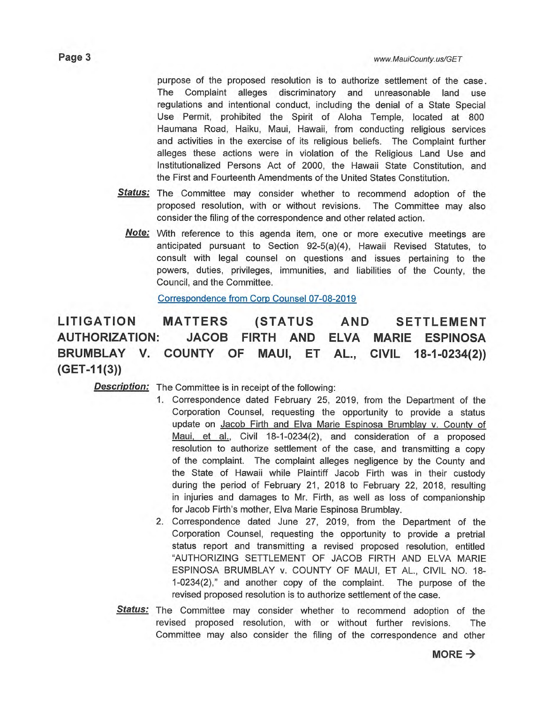purpose of the proposed resolution is to authorize settlement of the case. The Complaint alleges discriminatory and unreasonable land use regulations and intentional conduct, including the denial of a State Special Use Permit, prohibited the Spirit of Aloha Temple, located at 800 Haumana Road, Haiku, Maui, Hawaii, from conducting religious services and activities in the exercise of its religious beliefs. The Complaint further alleges these actions were in violation of the Religious Land Use and Institutionalized Persons Act of 2000, the Hawaii State Constitution, and the First and Fourteenth Amendments of the United States Constitution.

- **Status:** The Committee may consider whether to recommend adoption of the proposed resolution, with or without revisions. The Committee may also consider the filing of the correspondence and other related action.
	- With reference to this agenda item, one or more executive meetings are **Note:**  anticipated pursuant to Section 92-5(a)(4), Hawaii Revised Statutes, to consult with legal counsel on questions and issues pertaining to the powers, duties, privileges, immunities, and liabilities of the County, the Council, and the Committee.

Correspondence from Corp Counsel 07-08-2019

**LITIGATION MATTERS (STATUS AND SETTLEMENT AUTHORIZATION: JACOB FIRTH AND ELVA MARIE ESPINOSA BRUMBLAY V. COUNTY OF MAUI, ET AL., CIVIL 18-1-0234(2)) (GET-11(3))** 

**Description:** The Committee is in receipt of the following:

- 1. Correspondence dated February 25, 2019, from the Department of the Corporation Counsel, requesting the opportunity to provide a status update on Jacob Firth and Elva Marie Espinosa Brumblay v. County of Maui, et al., Civil 18-1-0234(2), and consideration of a proposed resolution to authorize settlement of the case, and transmitting a copy of the complaint. The complaint alleges negligence by the County and the State of Hawaii while Plaintiff Jacob Firth was in their custody during the period of February 21, 2018 to February 22, 2018, resulting in injuries and damages to Mr. Firth, as well as loss of companionship for Jacob Firth's mother, Elva Marie Espinosa Brumblay.
- 2. Correspondence dated June 27, 2019, from the Department of the Corporation Counsel, requesting the opportunity to provide a pretrial status report and transmitting a revised proposed resolution, entitled "AUTHORIZING SETTLEMENT OF JACOB FIRTH AND ELVA MARIE ESPINOSA BRUMBLAY v. COUNTY OF MAUI, ET AL., CIVIL NO. 18- 1-0234(2)," and another copy of the complaint. The purpose of the revised proposed resolution is to authorize settlement of the case.
- Status: The Committee may consider whether to recommend adoption of the revised proposed resolution, with or without further revisions. The Committee may also consider the filing of the correspondence and other